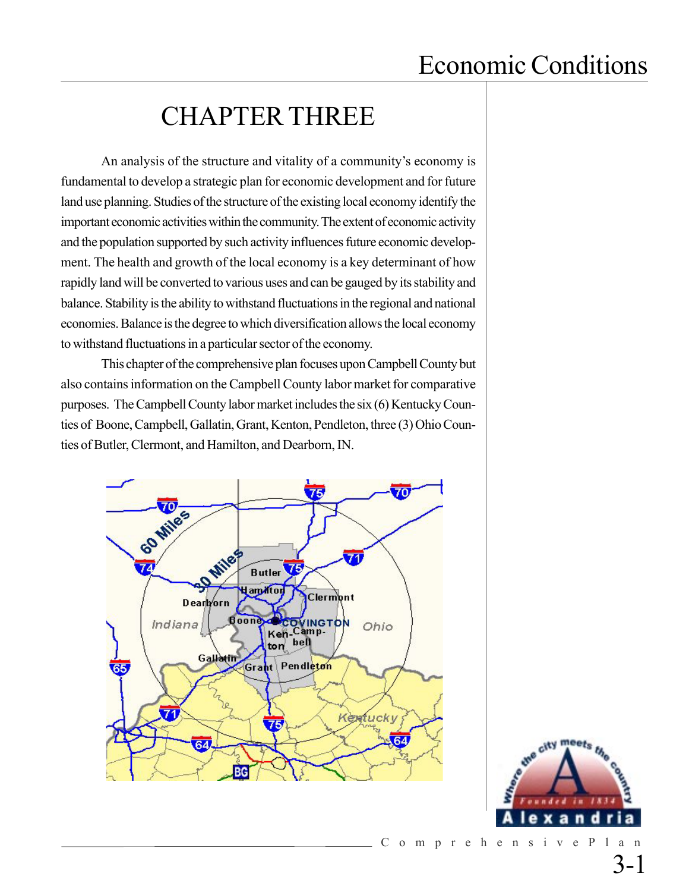## CHAPTER THREE

An analysis of the structure and vitality of a community's economy is fundamental to develop a strategic plan for economic development and for future land use planning. Studies of the structure of the existing local economy identify the important economic activities within the community. The extent of economic activity and the population supported by such activity influences future economic development. The health and growth of the local economy is a key determinant of how rapidly land will be converted to various uses and can be gauged by its stability and balance. Stability is the ability to withstand fluctuations in the regional and national economies. Balance is the degree to which diversification allows the local economy to withstand fluctuations in a particular sector of the economy.

This chapter of the comprehensive plan focuses upon Campbell County but also contains information on the Campbell County labor market for comparative purposes. The Campbell County labor market includes the six (6) Kentucky Counties of Boone, Campbell, Gallatin, Grant, Kenton, Pendleton, three (3) Ohio Counties of Butler, Clermont, and Hamilton, and Dearborn, IN.



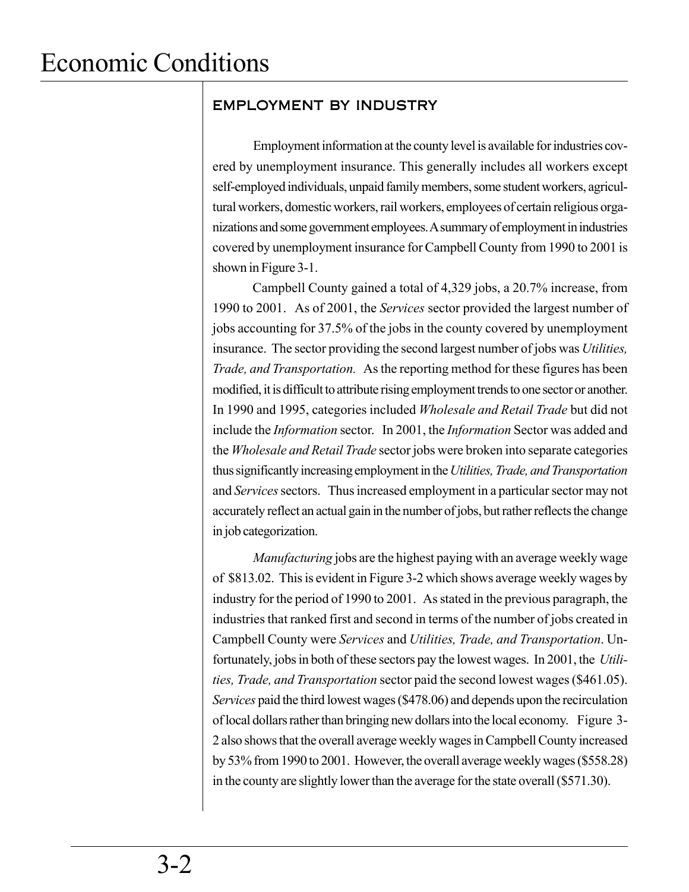### EMPLOYMENT BY INDUSTRY

Employment information at the county level is available for industries covered by unemployment insurance. This generally includes all workers except self-employed individuals, unpaid family members, some student workers, agricultural workers, domestic workers, rail workers, employees of certain religious organizations and some government employees. A summary of employment in industries covered by unemployment insurance for Campbell County from 1990 to 2001 is shown in Figure 3-1.

Campbell County gained a total of 4,329 jobs, a 20.7% increase, from 1990 to 2001. As of 2001, the *Services* sector provided the largest number of jobs accounting for 37.5% of the jobs in the county covered by unemployment insurance. The sector providing the second largest number of jobs was *Utilities, Trade, and Transportation.* As the reporting method for these figures has been modified, it is difficult to attribute rising employment trends to one sector or another. In 1990 and 1995, categories included *Wholesale and Retail Trade* but did not include the *Information* sector. In 2001, the *Information* Sector was added and the *Wholesale and Retail Trade* sector jobs were broken into separate categories thus significantly increasing employment in the *Utilities, Trade, and Transportation* and *Services* sectors. Thus increased employment in a particular sector may not accurately reflect an actual gain in the number of jobs, but rather reflects the change in job categorization.

*Manufacturing* jobs are the highest paying with an average weekly wage of \$813.02. This is evident in Figure 3-2 which shows average weekly wages by industry for the period of 1990 to 2001. As stated in the previous paragraph, the industries that ranked first and second in terms of the number of jobs created in Campbell County were *Services* and *Utilities, Trade, and Transportation*. Unfortunately, jobs in both of these sectors pay the lowest wages. In 2001, the *Utilities, Trade, and Transportation* sector paid the second lowest wages (\$461.05). *Services* paid the third lowest wages (\$478.06) and depends upon the recirculation of local dollars rather than bringing new dollars into the local economy. Figure 3- 2 also shows that the overall average weekly wages in Campbell County increased by 53% from 1990 to 2001. However, the overall average weekly wages (\$558.28) in the county are slightly lower than the average for the state overall (\$571.30).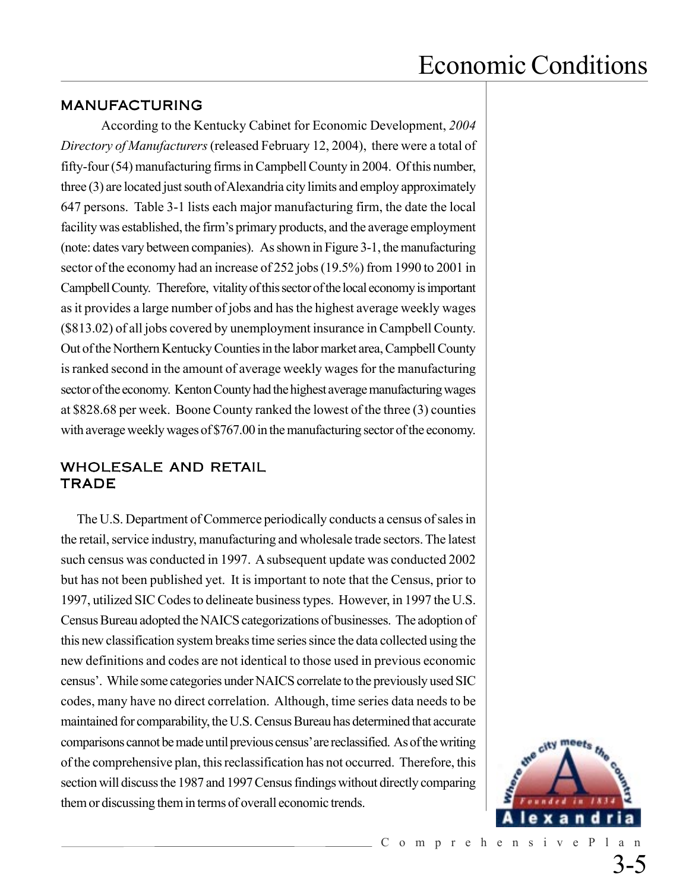#### MANUFACTURING

According to the Kentucky Cabinet for Economic Development, *2004 Directory of Manufacturers* (released February 12, 2004), there were a total of fifty-four (54) manufacturing firms in Campbell County in 2004. Of this number, three (3) are located just south of Alexandria city limits and employ approximately 647 persons. Table 3-1 lists each major manufacturing firm, the date the local facility was established, the firm's primary products, and the average employment (note: dates vary between companies). As shown in Figure 3-1, the manufacturing sector of the economy had an increase of 252 jobs (19.5%) from 1990 to 2001 in Campbell County. Therefore, vitality of this sector of the local economy is important as it provides a large number of jobs and has the highest average weekly wages (\$813.02) of all jobs covered by unemployment insurance in Campbell County. Out of the Northern Kentucky Counties in the labor market area, Campbell County is ranked second in the amount of average weekly wages for the manufacturing sector of the economy. Kenton County had the highest average manufacturing wages at \$828.68 per week. Boone County ranked the lowest of the three (3) counties with average weekly wages of \$767.00 in the manufacturing sector of the economy.

#### WHOLESALE AND RETAIL **TRADE**

The U.S. Department of Commerce periodically conducts a census of sales in the retail, service industry, manufacturing and wholesale trade sectors. The latest such census was conducted in 1997. A subsequent update was conducted 2002 but has not been published yet. It is important to note that the Census, prior to 1997, utilized SIC Codes to delineate business types. However, in 1997 the U.S. Census Bureau adopted the NAICS categorizations of businesses. The adoption of this new classification system breaks time series since the data collected using the new definitions and codes are not identical to those used in previous economic census'. While some categories under NAICS correlate to the previously used SIC codes, many have no direct correlation. Although, time series data needs to be maintained for comparability, the U.S. Census Bureau has determined that accurate comparisons cannot be made until previous census' are reclassified. As of the writing of the comprehensive plan, this reclassification has not occurred. Therefore, this section will discuss the 1987 and 1997 Census findings without directly comparing them or discussing them in terms of overall economic trends.



3-5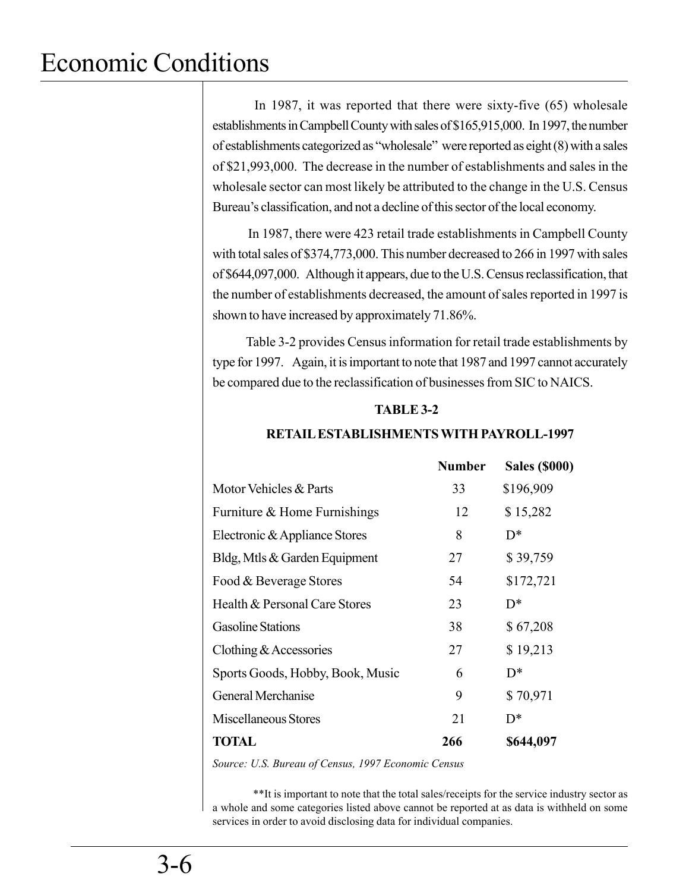In 1987, it was reported that there were sixty-five (65) wholesale establishments in Campbell County with sales of \$165,915,000. In 1997, the number of establishments categorized as "wholesale" were reported as eight (8) with a sales of \$21,993,000. The decrease in the number of establishments and sales in the wholesale sector can most likely be attributed to the change in the U.S. Census Bureau's classification, and not a decline of this sector of the local economy.

 In 1987, there were 423 retail trade establishments in Campbell County with total sales of \$374,773,000. This number decreased to 266 in 1997 with sales of \$644,097,000. Although it appears, due to the U.S. Census reclassification, that the number of establishments decreased, the amount of sales reported in 1997 is shown to have increased by approximately 71.86%.

 Table 3-2 provides Census information for retail trade establishments by type for 1997. Again, it is important to note that 1987 and 1997 cannot accurately be compared due to the reclassification of businesses from SIC to NAICS.

#### **TABLE 3-2**

| <b>Number</b> | <b>Sales (\$000)</b> |
|---------------|----------------------|
| 33            | \$196,909            |
| 12            | \$15,282             |
| 8             | $D^*$                |
| 27            | \$39,759             |
| 54            | \$172,721            |
| 23            | $D^*$                |
| 38            | \$67,208             |
| 27            | \$19,213             |
| 6             | $D^*$                |
| 9             | \$70,971             |
| 21            | $D^*$                |
| 266           | \$644,097            |
|               |                      |

#### **RETAIL ESTABLISHMENTS WITH PAYROLL-1997**

*Source: U.S. Bureau of Census, 1997 Economic Census*

\*\*It is important to note that the total sales/receipts for the service industry sector as a whole and some categories listed above cannot be reported at as data is withheld on some services in order to avoid disclosing data for individual companies.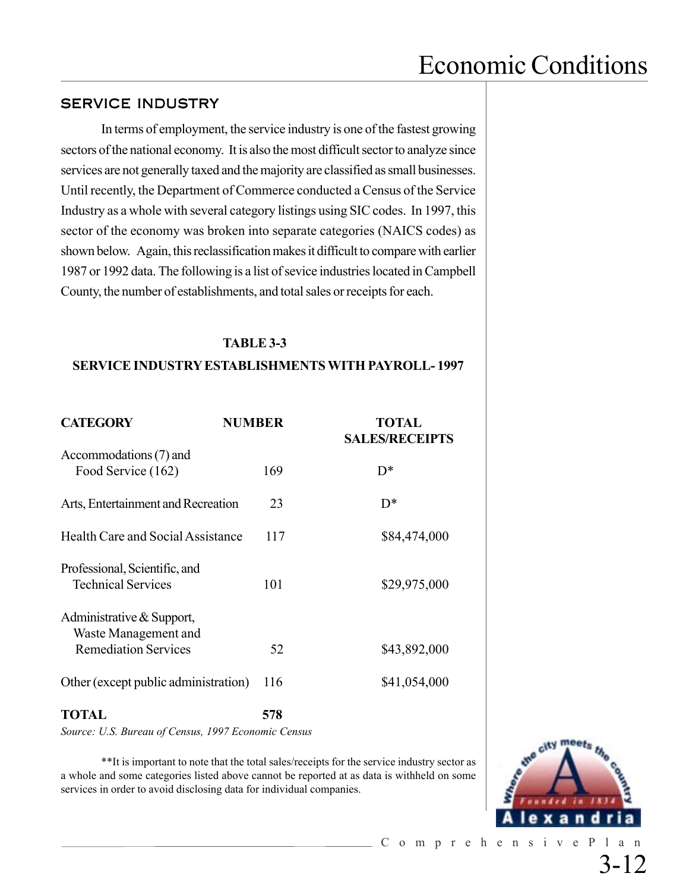#### SERVICE INDUSTRY

In terms of employment, the service industry is one of the fastest growing sectors of the national economy. It is also the most difficult sector to analyze since services are not generally taxed and the majority are classified as small businesses. Until recently, the Department of Commerce conducted a Census of the Service Industry as a whole with several category listings using SIC codes. In 1997, this sector of the economy was broken into separate categories (NAICS codes) as shown below. Again, this reclassification makes it difficult to compare with earlier 1987 or 1992 data. The following is a list of sevice industries located in Campbell County, the number of establishments, and total sales or receipts for each.

#### **TABLE 3-3**

#### **SERVICE INDUSTRY ESTABLISHMENTS WITH PAYROLL- 1997**

| <b>CATEGORY</b>                                                                  | <b>NUMBER</b> | TOTAL<br><b>SALES/RECEIPTS</b> |
|----------------------------------------------------------------------------------|---------------|--------------------------------|
| Accommodations (7) and<br>Food Service (162)                                     | 169           | $D^*$                          |
| Arts, Entertainment and Recreation                                               | 23            | $D^*$                          |
| Health Care and Social Assistance                                                | 117           | \$84,474,000                   |
| Professional, Scientific, and<br><b>Technical Services</b>                       | 101           | \$29,975,000                   |
| Administrative & Support,<br>Waste Management and<br><b>Remediation Services</b> | 52            | \$43,892,000                   |
|                                                                                  |               |                                |
| Other (except public administration)                                             | 116           | \$41,054,000                   |

### **TOTAL 578**

*Source: U.S. Bureau of Census, 1997 Economic Census*

\*\*It is important to note that the total sales/receipts for the service industry sector as a whole and some categories listed above cannot be reported at as data is withheld on some services in order to avoid disclosing data for individual companies.



3-12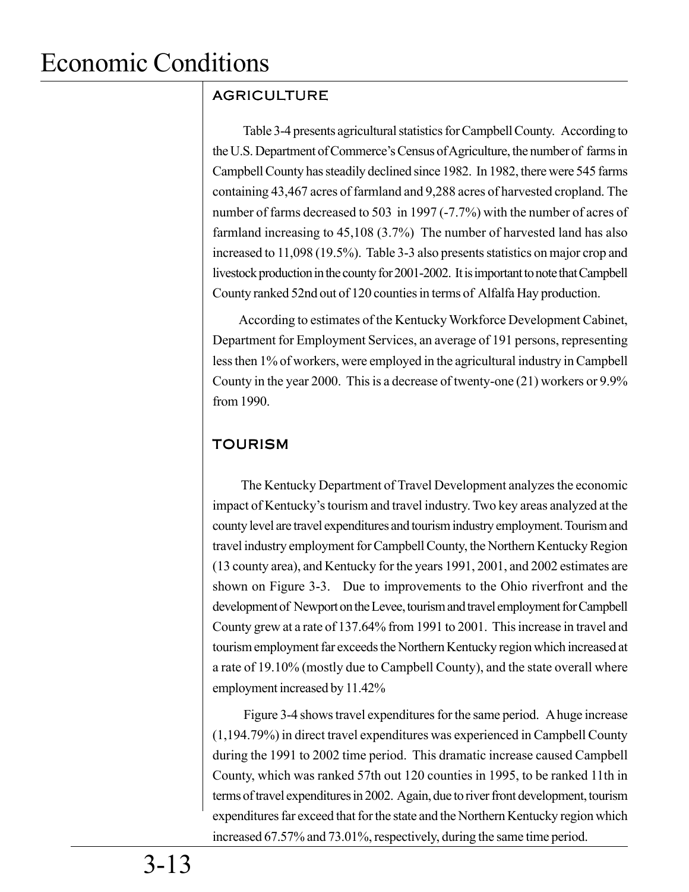### AGRICULTURE

 Table 3-4 presents agricultural statistics for Campbell County. According to the U.S. Department of Commerce's Census of Agriculture, the number of farms in Campbell County has steadily declined since 1982. In 1982, there were 545 farms containing 43,467 acres of farmland and 9,288 acres of harvested cropland. The number of farms decreased to 503 in 1997 (-7.7%) with the number of acres of farmland increasing to 45,108 (3.7%) The number of harvested land has also increased to 11,098 (19.5%). Table 3-3 also presents statistics on major crop and livestock production in the county for 2001-2002. It is important to note that Campbell County ranked 52nd out of 120 counties in terms of Alfalfa Hay production.

 According to estimates of the Kentucky Workforce Development Cabinet, Department for Employment Services, an average of 191 persons, representing less then 1% of workers, were employed in the agricultural industry in Campbell County in the year 2000. This is a decrease of twenty-one (21) workers or 9.9% from 1990.

### TOURISM

 The Kentucky Department of Travel Development analyzes the economic impact of Kentucky's tourism and travel industry. Two key areas analyzed at the county level are travel expenditures and tourism industry employment. Tourism and travel industry employment forCampbell County, the Northern Kentucky Region (13 county area), and Kentucky for the years 1991, 2001, and 2002 estimates are shown on Figure 3-3. Due to improvements to the Ohio riverfront and the development of Newport on the Levee, tourism and travel employment for Campbell County grew at a rate of 137.64% from 1991 to 2001. This increase in travel and tourism employment far exceeds the Northern Kentucky region which increased at a rate of 19.10% (mostly due to Campbell County), and the state overall where employment increased by 11.42%

 Figure 3-4 shows travel expenditures for the same period. A huge increase (1,194.79%) in direct travel expenditures was experienced in Campbell County during the 1991 to 2002 time period. This dramatic increase caused Campbell County, which was ranked 57th out 120 counties in 1995, to be ranked 11th in terms of travel expenditures in 2002. Again, due to river front development, tourism expenditures far exceed that for the state and the Northern Kentucky region which increased 67.57% and 73.01%, respectively, during the same time period.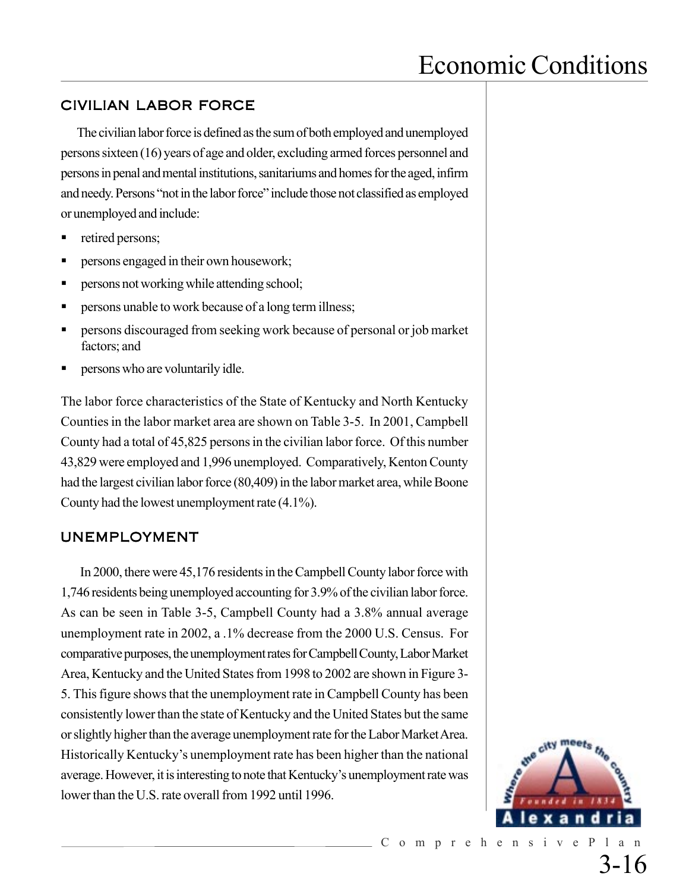#### CIVILIAN LABOR FORCE

The civilian labor force is defined as the sum of both employed and unemployed persons sixteen (16) years of age and older, excluding armed forces personnel and persons in penal and mental institutions, sanitariums and homes for the aged, infirm and needy. Persons "not in the labor force" include those not classified as employed or unemployed and include:

- retired persons;
- persons engaged in their own housework;
- persons not working while attending school;
- persons unable to work because of a long term illness;
- persons discouraged from seeking work because of personal or job market factors; and
- persons who are voluntarily idle.

The labor force characteristics of the State of Kentucky and North Kentucky Counties in the labor market area are shown on Table 3-5. In 2001, Campbell County had a total of 45,825 persons in the civilian labor force. Of this number 43,829 were employed and 1,996 unemployed. Comparatively, Kenton County had the largest civilian labor force (80,409) in the labor market area, while Boone County had the lowest unemployment rate (4.1%).

#### UNEMPLOYMENT

In 2000, there were 45,176 residents in the Campbell County labor force with 1,746 residents being unemployed accounting for 3.9% of the civilian labor force. As can be seen in Table 3-5, Campbell County had a 3.8% annual average unemployment rate in 2002, a .1% decrease from the 2000 U.S. Census. For comparative purposes, the unemployment rates for Campbell County, Labor Market Area, Kentucky and the United States from 1998 to 2002 are shown in Figure 3- 5. This figure shows that the unemployment rate in Campbell County has been consistently lower than the state of Kentucky and the United States but the same or slightly higher than the average unemployment rate for the Labor Market Area. Historically Kentucky's unemployment rate has been higher than the national average. However, it is interesting to note that Kentucky's unemployment rate was lower than the U.S. rate overall from 1992 until 1996.

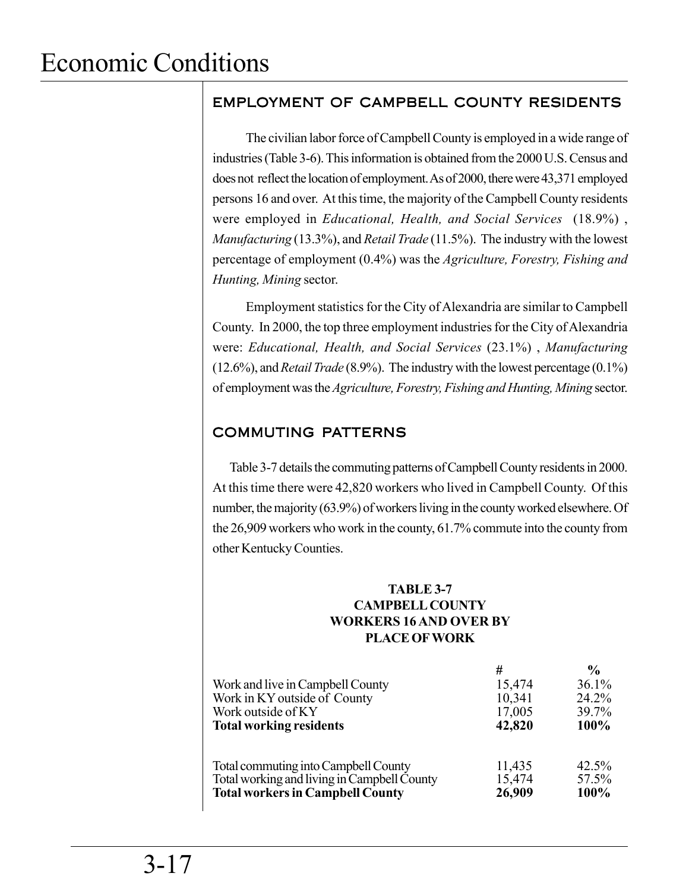### EMPLOYMENT OF CAMPBELL COUNTY RESIDENTS

The civilian labor force of Campbell County is employed in a wide range of industries (Table 3-6). This information is obtained from the 2000 U.S. Census and does not reflect the location of employment. As of 2000, there were 43,371 employed persons 16 and over. At this time, the majority of the Campbell County residents were employed in *Educational, Health, and Social Services* (18.9%) , *Manufacturing* (13.3%), and *Retail Trade* (11.5%). The industry with the lowest percentage of employment (0.4%) was the *Agriculture, Forestry, Fishing and Hunting, Mining* sector.

Employment statistics for the City of Alexandria are similar to Campbell County. In 2000, the top three employment industries for the City of Alexandria were: *Educational, Health, and Social Services* (23.1%) , *Manufacturing* (12.6%), and *Retail Trade* (8.9%). The industry with the lowest percentage (0.1%) of employment was the *Agriculture, Forestry, Fishing and Hunting, Mining* sector.

### COMMUTING PATTERNS

Table 3-7 details the commuting patterns of Campbell County residents in 2000. At this time there were 42,820 workers who lived in Campbell County. Of this number, the majority (63.9%) of workers living in the county worked elsewhere. Of the 26,909 workers who work in the county, 61.7% commute into the county from other Kentucky Counties.

#### **TABLE 3-7 CAMPBELL COUNTY WORKERS 16 AND OVER BY PLACE OF WORK**

| Work and live in Campbell County<br>Work in KY outside of County<br>Work outside of KY<br><b>Total working residents</b> | #<br>15,474<br>10,341<br>17,005<br>42,820 | $\frac{0}{0}$<br>36.1%<br>24.2%<br>39.7%<br>100% |
|--------------------------------------------------------------------------------------------------------------------------|-------------------------------------------|--------------------------------------------------|
| Total commuting into Campbell County                                                                                     | 11,435                                    | 42.5%                                            |
| Total working and living in Campbell County                                                                              | 15,474                                    | 57.5%                                            |
| <b>Total workers in Campbell County</b>                                                                                  | 26,909                                    | 100%                                             |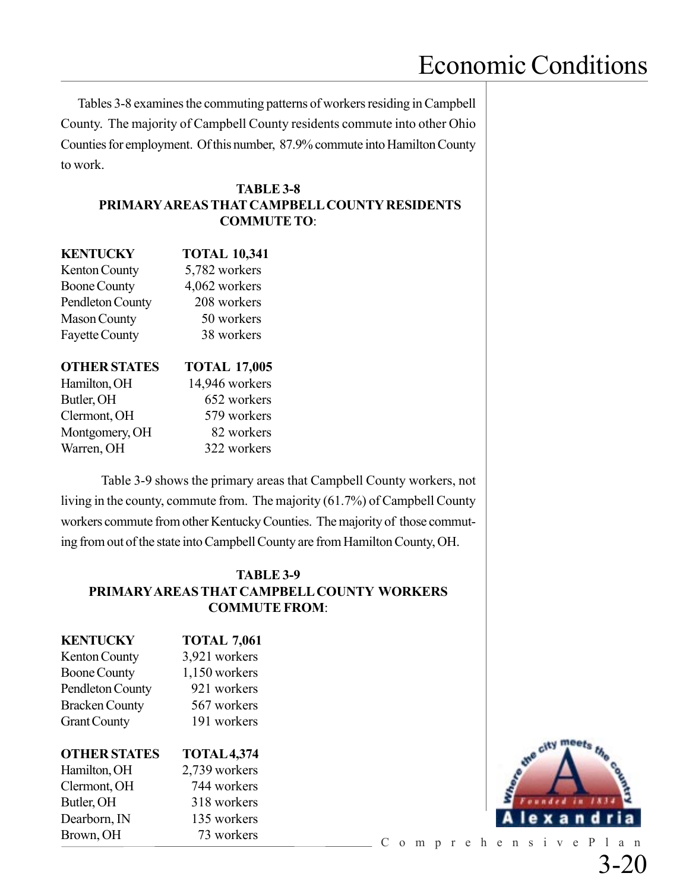Tables 3-8 examines the commuting patterns of workers residing in Campbell County. The majority of Campbell County residents commute into other Ohio Counties for employment. Of this number, 87.9% commute into Hamilton County to work.

#### **TABLE 3-8 PRIMARY AREAS THAT CAMPBELL COUNTY RESIDENTS COMMUTE TO**:

| <b>KENTUCKY</b>       | <b>TOTAL 10,341</b> |
|-----------------------|---------------------|
| <b>Kenton County</b>  | 5,782 workers       |
| <b>Boone County</b>   | 4,062 workers       |
| Pendleton County      | 208 workers         |
| <b>Mason County</b>   | 50 workers          |
| <b>Fayette County</b> | 38 workers          |
| <b>OTHER STATES</b>   | <b>TOTAL 17,005</b> |
|                       |                     |
| Hamilton, OH          | 14,946 workers      |
| Butler, OH            | 652 workers         |
| Clermont, OH          | 579 workers         |
| Montgomery, OH        | 82 workers          |

Table 3-9 shows the primary areas that Campbell County workers, not living in the county, commute from. The majority (61.7%) of Campbell County workers commute from other Kentucky Counties. The majority of those commuting from out of the state into Campbell County are from Hamilton County, OH.

#### **TABLE 3-9 PRIMARY AREAS THAT CAMPBELL COUNTY WORKERS COMMUTE FROM**:

| <b>KENTUCKY</b>       | <b>TOTAL 7,061</b> |
|-----------------------|--------------------|
| <b>Kenton County</b>  | 3,921 workers      |
| <b>Boone County</b>   | 1,150 workers      |
| Pendleton County      | 921 workers        |
| <b>Bracken County</b> | 567 workers        |
| <b>Grant County</b>   | 191 workers        |
| <b>OTHER STATES</b>   | <b>TOTAL 4,374</b> |
| Hamilton, OH          | 2,739 workers      |

Clermont, OH 744 workers Butler, OH 318 workers Dearborn, IN 135 workers Brown, OH 73 workers



ComprehensivePlan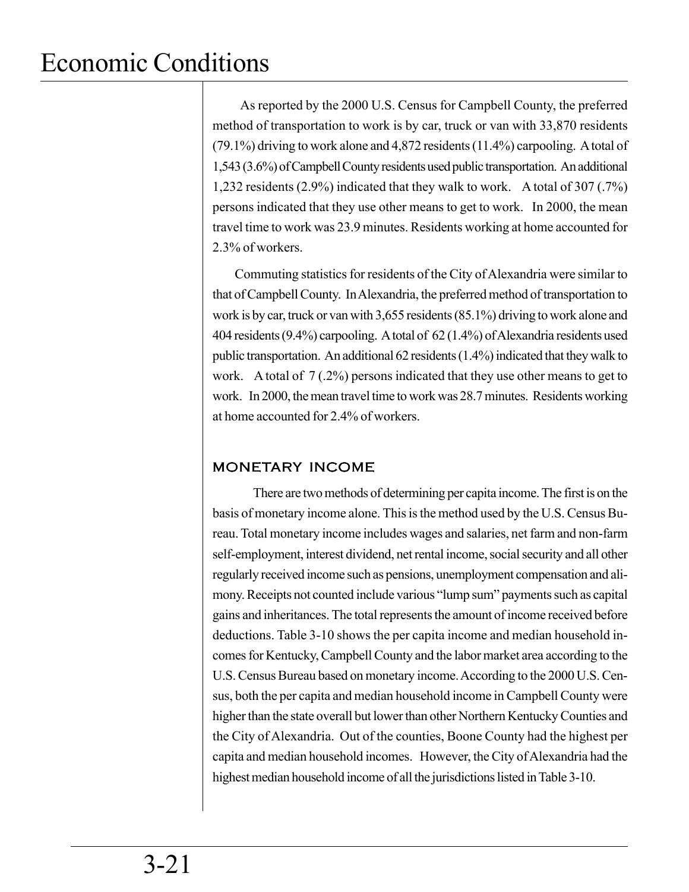As reported by the 2000 U.S. Census for Campbell County, the preferred method of transportation to work is by car, truck or van with 33,870 residents (79.1%) driving to work alone and 4,872 residents (11.4%) carpooling. A total of 1,543 (3.6%) of Campbell County residents used public transportation. An additional 1,232 residents (2.9%) indicated that they walk to work. A total of 307 (.7%) persons indicated that they use other means to get to work. In 2000, the mean travel time to work was 23.9 minutes. Residents working at home accounted for 2.3% of workers.

 Commuting statistics for residents of the City of Alexandria were similar to that of Campbell County. In Alexandria, the preferred method of transportation to work is by car, truck or van with 3,655 residents (85.1%) driving to work alone and 404 residents (9.4%) carpooling. A total of 62 (1.4%) of Alexandria residents used public transportation. An additional 62 residents (1.4%) indicated that they walk to work. A total of 7 (.2%) persons indicated that they use other means to get to work. In 2000, the mean travel time to work was 28.7 minutes. Residents working at home accounted for 2.4% of workers.

### MONETARY INCOME

There are two methods of determining per capita income. The first is on the basis of monetary income alone. This is the method used by the U.S. Census Bureau. Total monetary income includes wages and salaries, net farm and non-farm self-employment, interest dividend, net rental income, social security and all other regularly received income such as pensions, unemployment compensation and alimony. Receipts not counted include various "lump sum" payments such as capital gains and inheritances. The total represents the amount of income received before deductions. Table 3-10 shows the per capita income and median household incomes for Kentucky, Campbell County and the labor market area according to the U.S. Census Bureau based on monetary income. According to the 2000 U.S. Census, both the per capita and median household income in Campbell County were higher than the state overall but lower than other Northern Kentucky Counties and the City of Alexandria. Out of the counties, Boone County had the highest per capita and median household incomes. However, the City of Alexandria had the highest median household income of all the jurisdictions listed in Table 3-10.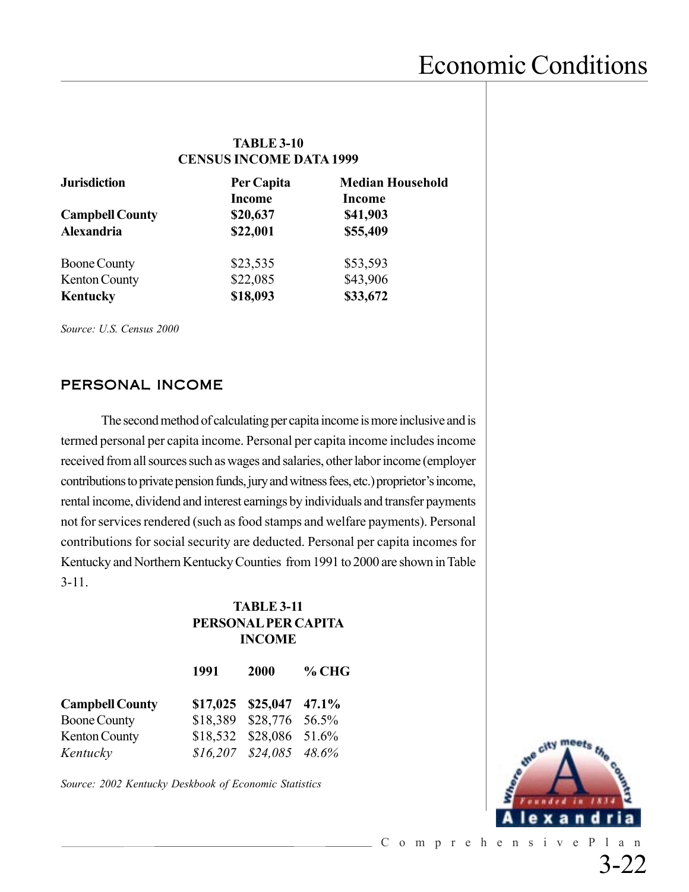#### **TABLE 3-10 CENSUS INCOME DATA 1999**

| <b>Jurisdiction</b>    | Per Capita                | <b>Median Household</b>   |
|------------------------|---------------------------|---------------------------|
| <b>Campbell County</b> | <b>Income</b><br>\$20,637 | <b>Income</b><br>\$41,903 |
| Alexandria             | \$22,001                  | \$55,409                  |
| <b>Boone County</b>    | \$23,535                  | \$53,593                  |
| Kenton County          | \$22,085                  | \$43,906                  |
| Kentucky               | \$18,093                  | \$33,672                  |

*Source: U.S. Census 2000*

#### PERSONAL INCOME

The second method of calculating per capita income is more inclusive and is termed personal per capita income. Personal per capita income includes income received from all sources such as wages and salaries, other labor income (employer contributions to private pension funds, jury and witness fees, etc.) proprietor's income, rental income, dividend and interest earnings by individuals and transfer payments not for services rendered (such as food stamps and welfare payments). Personal contributions for social security are deducted. Personal per capita incomes for Kentucky and Northern Kentucky Counties from 1991 to 2000 are shown in Table 3-11.

#### **TABLE 3-11 PERSONAL PER CAPITA INCOME**

|                        | 1991 | 2000                         | $%$ CHG |
|------------------------|------|------------------------------|---------|
| <b>Campbell County</b> |      | $$17,025$ $$25,047$ $47.1\%$ |         |
| <b>Boone County</b>    |      | \$18,389 \$28,776 56.5%      |         |
| <b>Kenton County</b>   |      | \$18,532 \$28,086 51.6%      |         |
| Kentucky               |      | $$16,207$ $$24,085$ $48.6\%$ |         |

*Source: 2002 Kentucky Deskbook of Economic Statistics*

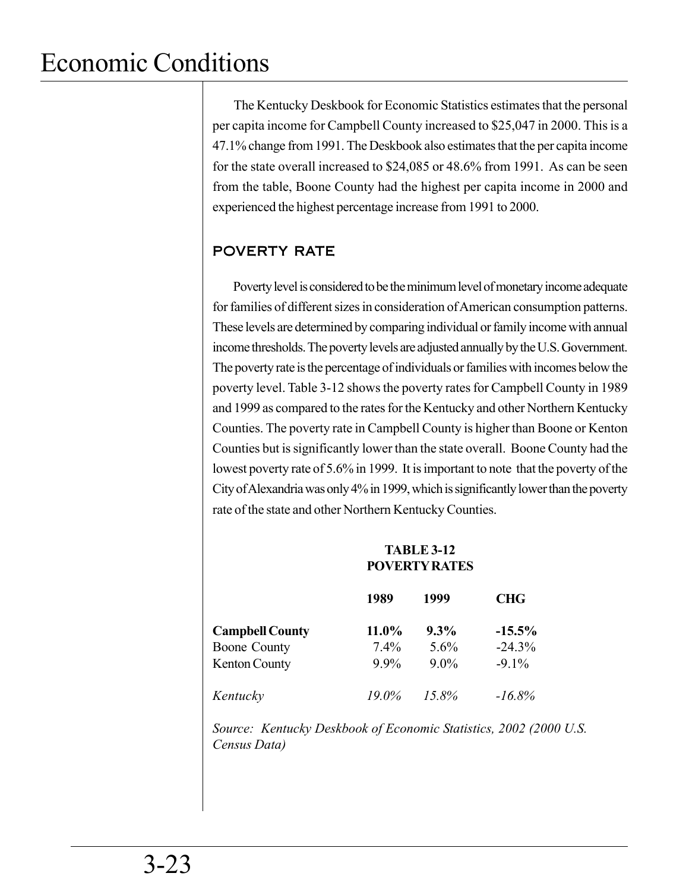The Kentucky Deskbook for Economic Statistics estimates that the personal per capita income for Campbell County increased to \$25,047 in 2000. This is a 47.1% change from 1991. The Deskbook also estimates that the per capita income for the state overall increased to \$24,085 or 48.6% from 1991. As can be seen from the table, Boone County had the highest per capita income in 2000 and experienced the highest percentage increase from 1991 to 2000.

### POVERTY RATE

Poverty level is considered to be the minimum level of monetary income adequate for families of different sizes in consideration of American consumption patterns. These levels are determined by comparing individual or family income with annual income thresholds. The poverty levels are adjusted annually by the U.S. Government. The poverty rate is the percentage of individuals or families with incomes below the poverty level. Table 3-12 shows the poverty rates for Campbell County in 1989 and 1999 as compared to the rates for the Kentucky and other Northern Kentucky Counties. The poverty rate in Campbell County is higher than Boone or Kenton Counties but is significantly lower than the state overall. Boone County had the lowest poverty rate of 5.6% in 1999. It is important to note that the poverty of the City of Alexandria was only 4% in 1999, which is significantly lower than the poverty rate of the state and other Northern Kentucky Counties.

|                        | <b>TABLE 3-12</b><br><b>POVERTY RATES</b> |         |            |
|------------------------|-------------------------------------------|---------|------------|
|                        | 1989                                      | 1999    | <b>CHG</b> |
| <b>Campbell County</b> | $11.0\%$                                  | $9.3\%$ | $-15.5%$   |
| <b>Boone County</b>    | $7.4\%$                                   | $5.6\%$ | $-24.3%$   |
| <b>Kenton County</b>   | $9.9\%$                                   | $9.0\%$ | $-9.1\%$   |
| Kentucky               | 19.0%                                     | 15.8%   | $-16.8\%$  |

*Source: Kentucky Deskbook of Economic Statistics, 2002 (2000 U.S. Census Data)*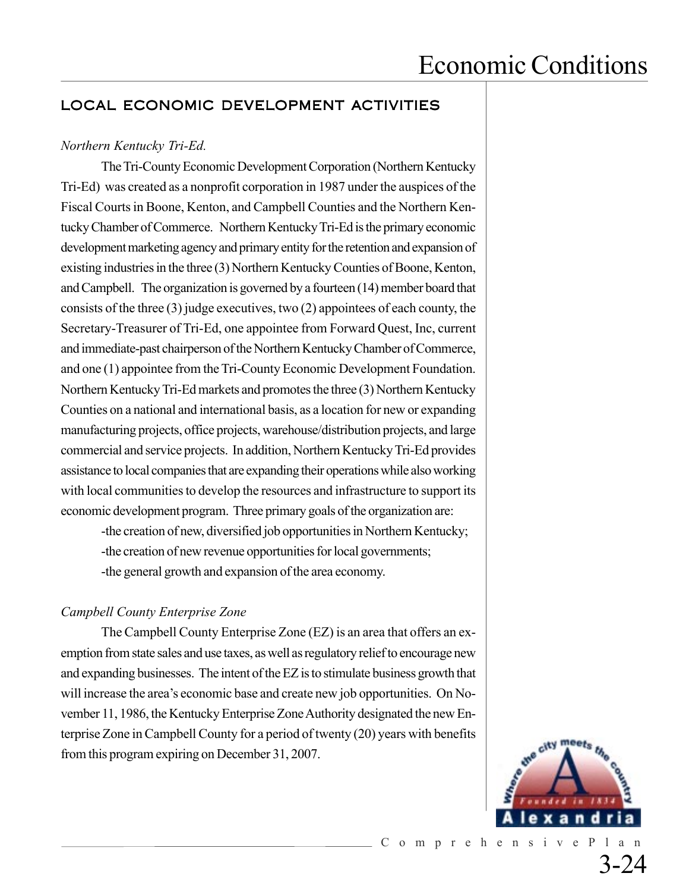#### LOCAL ECONOMIC DEVELOPMENT ACTIVITIES

#### *Northern Kentucky Tri-Ed.*

The Tri-County Economic Development Corporation (Northern Kentucky Tri-Ed) was created as a nonprofit corporation in 1987 under the auspices of the Fiscal Courts in Boone, Kenton, and Campbell Counties and the Northern Kentucky Chamber of Commerce. Northern Kentucky Tri-Ed is the primary economic development marketing agency and primary entity for the retention and expansion of existing industries in the three (3) Northern Kentucky Counties of Boone, Kenton, and Campbell. The organization is governed by a fourteen (14) member board that consists of the three (3) judge executives, two (2) appointees of each county, the Secretary-Treasurer of Tri-Ed, one appointee from Forward Quest, Inc, current and immediate-past chairperson of the Northern Kentucky Chamber of Commerce, and one (1) appointee from the Tri-County Economic Development Foundation. Northern Kentucky Tri-Ed markets and promotes the three (3) Northern Kentucky Counties on a national and international basis, as a location for new or expanding manufacturing projects, office projects, warehouse/distribution projects, and large commercial and service projects. In addition, Northern Kentucky Tri-Ed provides assistance to local companies that are expanding their operations while also working with local communities to develop the resources and infrastructure to support its economic development program. Three primary goals of the organization are:

-the creation of new, diversified job opportunities in Northern Kentucky; -the creation of new revenue opportunities for local governments; -the general growth and expansion of the area economy.

#### *Campbell County Enterprise Zone*

The Campbell County Enterprise Zone (EZ) is an area that offers an exemption from state sales and use taxes, as well as regulatory relief to encourage new and expanding businesses. The intent of the EZ is to stimulate business growth that will increase the area's economic base and create new job opportunities. On November 11, 1986, the Kentucky Enterprise Zone Authority designated the new Enterprise Zone in Campbell County for a period of twenty (20) years with benefits from this program expiring on December 31, 2007.

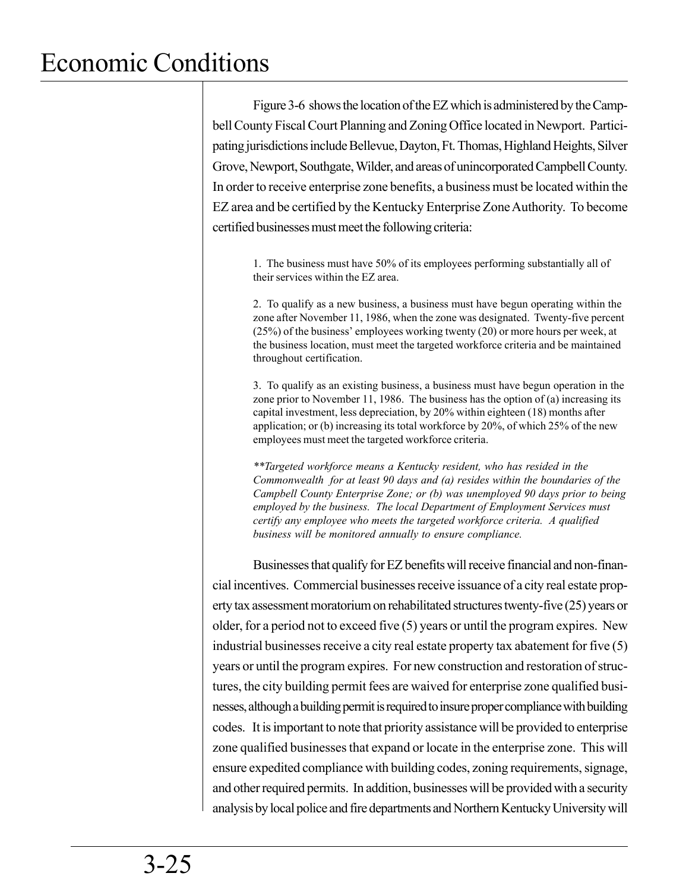Figure 3-6 shows the location of the EZ which is administered by the Campbell County Fiscal Court Planning and Zoning Office located in Newport. Participating jurisdictions include Bellevue, Dayton, Ft. Thomas, Highland Heights, Silver Grove, Newport, Southgate, Wilder, and areas of unincorporated Campbell County. In order to receive enterprise zone benefits, a business must be located within the EZ area and be certified by the Kentucky Enterprise Zone Authority. To become certified businesses must meet the following criteria:

1. The business must have 50% of its employees performing substantially all of their services within the EZ area.

2. To qualify as a new business, a business must have begun operating within the zone after November 11, 1986, when the zone was designated. Twenty-five percent (25%) of the business' employees working twenty (20) or more hours per week, at the business location, must meet the targeted workforce criteria and be maintained throughout certification.

3. To qualify as an existing business, a business must have begun operation in the zone prior to November 11, 1986. The business has the option of (a) increasing its capital investment, less depreciation, by 20% within eighteen (18) months after application; or (b) increasing its total workforce by 20%, of which 25% of the new employees must meet the targeted workforce criteria.

*\*\*Targeted workforce means a Kentucky resident, who has resided in the Commonwealth for at least 90 days and (a) resides within the boundaries of the Campbell County Enterprise Zone; or (b) was unemployed 90 days prior to being employed by the business. The local Department of Employment Services must certify any employee who meets the targeted workforce criteria. A qualified business will be monitored annually to ensure compliance.*

Businesses that qualify for EZ benefits will receive financial and non-financial incentives. Commercial businesses receive issuance of a city real estate property tax assessment moratorium on rehabilitated structures twenty-five (25) years or older, for a period not to exceed five (5) years or until the program expires. New industrial businesses receive a city real estate property tax abatement for five (5) years or until the program expires. For new construction and restoration of structures, the city building permit fees are waived for enterprise zone qualified businesses, although a building permit is required to insure proper compliance with building codes. It is important to note that priority assistance will be provided to enterprise zone qualified businesses that expand or locate in the enterprise zone. This will ensure expedited compliance with building codes, zoning requirements, signage, and other required permits. In addition, businesses will be provided with a security analysis by local police and fire departments and Northern Kentucky University will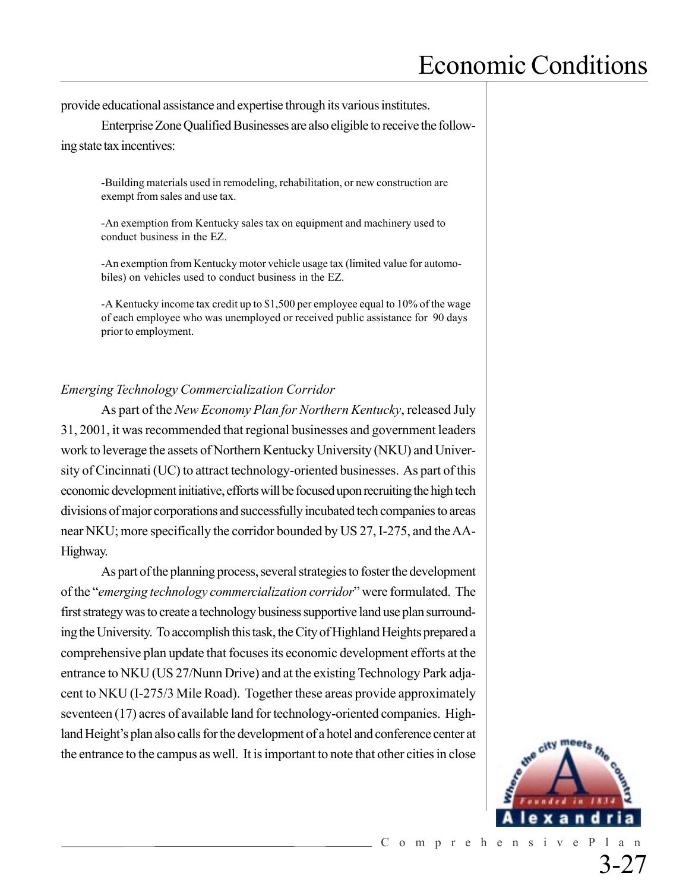provide educational assistance and expertise through its various institutes.

Enterprise Zone Qualified Businesses are also eligible to receive the following state tax incentives:

-Building materials used in remodeling, rehabilitation, or new construction are exempt from sales and use tax.

-An exemption from Kentucky sales tax on equipment and machinery used to conduct business in the EZ.

-An exemption from Kentucky motor vehicle usage tax (limited value for automobiles) on vehicles used to conduct business in the EZ.

-A Kentucky income tax credit up to \$1,500 per employee equal to 10% of the wage of each employee who was unemployed or received public assistance for 90 days prior to employment.

#### *Emerging Technology Commercialization Corridor*

As part of the *New Economy Plan for Northern Kentucky*, released July 31, 2001, it was recommended that regional businesses and government leaders work to leverage the assets of Northern Kentucky University (NKU) and University of Cincinnati (UC) to attract technology-oriented businesses. As part of this economic development initiative, efforts will be focused upon recruiting the high tech divisions of major corporations and successfully incubated tech companies to areas near NKU; more specifically the corridor bounded by US 27, I-275, and the AA-Highway.

As part of the planning process, several strategies to foster the development of the "*emerging technology commercialization corridor*" were formulated. The first strategy was to create a technology business supportive land use plan surrounding the University. To accomplish this task, the City of Highland Heights prepared a comprehensive plan update that focuses its economic development efforts at the entrance to NKU (US 27/Nunn Drive) and at the existing Technology Park adjacent to NKU (I-275/3 Mile Road). Together these areas provide approximately seventeen (17) acres of available land for technology-oriented companies. Highland Height's plan also calls for the development of a hotel and conference center at the entrance to the campus as well. It is important to note that other cities in close



3-27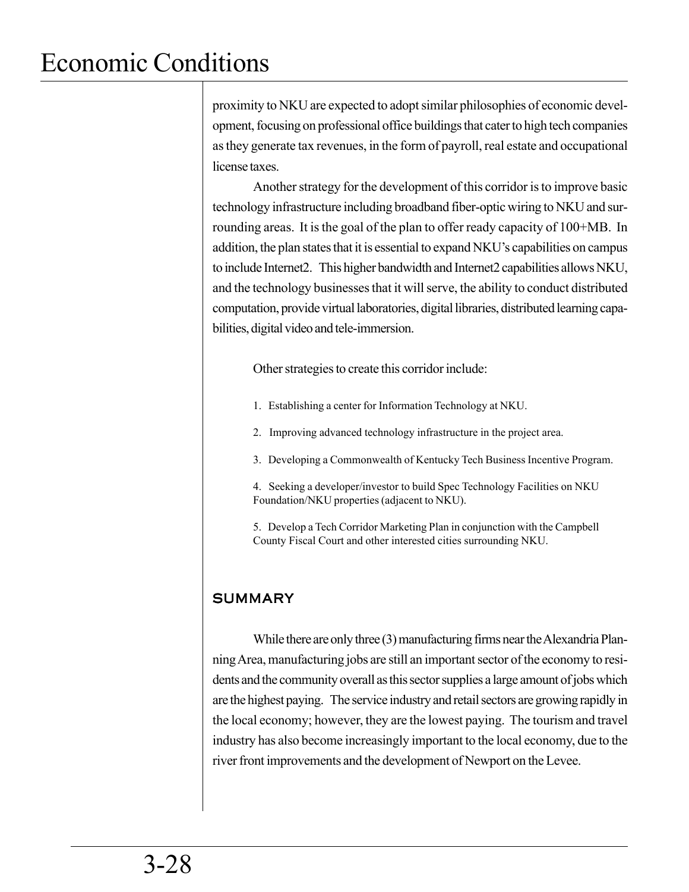proximity to NKU are expected to adopt similar philosophies of economic development, focusing on professional office buildings that cater to high tech companies as they generate tax revenues, in the form of payroll, real estate and occupational license taxes.

Another strategy for the development of this corridor is to improve basic technology infrastructure including broadband fiber-optic wiring to NKU and surrounding areas. It is the goal of the plan to offer ready capacity of 100+MB. In addition, the plan states that it is essential to expand NKU's capabilities on campus to include Internet2. This higher bandwidth and Internet2 capabilities allows NKU, and the technology businesses that it will serve, the ability to conduct distributed computation, provide virtual laboratories, digital libraries, distributed learning capabilities, digital video and tele-immersion.

Other strategies to create this corridor include:

- 1. Establishing a center for Information Technology at NKU.
- 2. Improving advanced technology infrastructure in the project area.
- 3. Developing a Commonwealth of Kentucky Tech Business Incentive Program.
- 4. Seeking a developer/investor to build Spec Technology Facilities on NKU Foundation/NKU properties (adjacent to NKU).
- 5. Develop a Tech Corridor Marketing Plan in conjunction with the Campbell County Fiscal Court and other interested cities surrounding NKU.

### **SUMMARY**

While there are only three (3) manufacturing firms near the Alexandria Planning Area, manufacturing jobs are still an important sector of the economy to residents and the community overall as this sector supplies a large amount of jobs which are the highest paying. The service industry and retail sectors are growing rapidly in the local economy; however, they are the lowest paying. The tourism and travel industry has also become increasingly important to the local economy, due to the river front improvements and the development of Newport on the Levee.